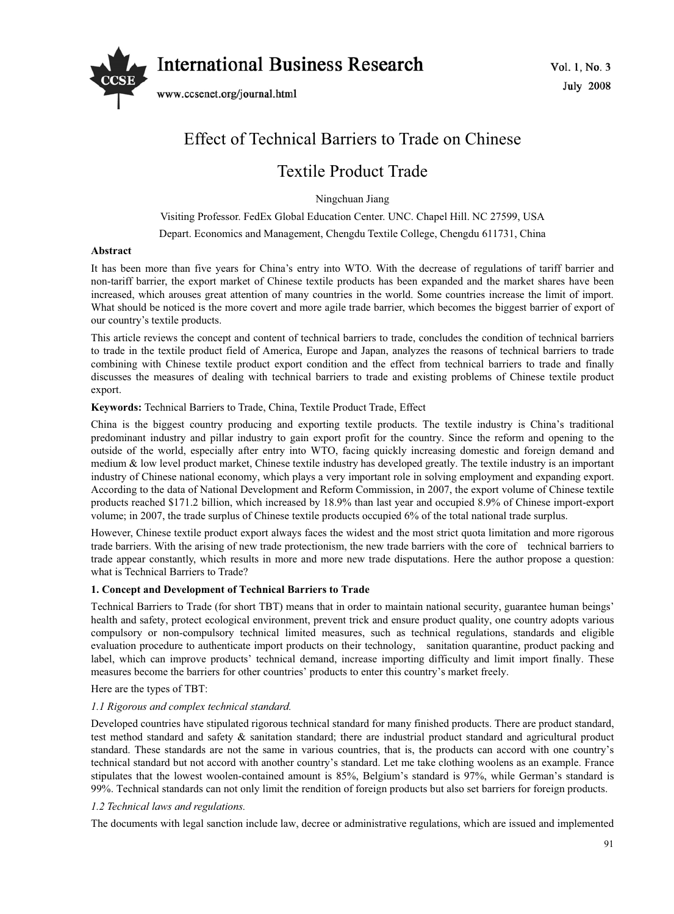**International Business Research** 



# Effect of Technical Barriers to Trade on Chinese

# Textile Product Trade

Ningchuan Jiang

Visiting Professor. FedEx Global Education Center. UNC. Chapel Hill. NC 27599, USA Depart. Economics and Management, Chengdu Textile College, Chengdu 611731, China

# **Abstract**

It has been more than five years for China's entry into WTO. With the decrease of regulations of tariff barrier and non-tariff barrier, the export market of Chinese textile products has been expanded and the market shares have been increased, which arouses great attention of many countries in the world. Some countries increase the limit of import. What should be noticed is the more covert and more agile trade barrier, which becomes the biggest barrier of export of our country's textile products.

This article reviews the concept and content of technical barriers to trade, concludes the condition of technical barriers to trade in the textile product field of America, Europe and Japan, analyzes the reasons of technical barriers to trade combining with Chinese textile product export condition and the effect from technical barriers to trade and finally discusses the measures of dealing with technical barriers to trade and existing problems of Chinese textile product export.

# **Keywords:** Technical Barriers to Trade, China, Textile Product Trade, Effect

China is the biggest country producing and exporting textile products. The textile industry is China's traditional predominant industry and pillar industry to gain export profit for the country. Since the reform and opening to the outside of the world, especially after entry into WTO, facing quickly increasing domestic and foreign demand and medium & low level product market, Chinese textile industry has developed greatly. The textile industry is an important industry of Chinese national economy, which plays a very important role in solving employment and expanding export. According to the data of National Development and Reform Commission, in 2007, the export volume of Chinese textile products reached \$171.2 billion, which increased by 18.9% than last year and occupied 8.9% of Chinese import-export volume; in 2007, the trade surplus of Chinese textile products occupied 6% of the total national trade surplus.

However, Chinese textile product export always faces the widest and the most strict quota limitation and more rigorous trade barriers. With the arising of new trade protectionism, the new trade barriers with the core of technical barriers to trade appear constantly, which results in more and more new trade disputations. Here the author propose a question: what is Technical Barriers to Trade?

# **1. Concept and Development of Technical Barriers to Trade**

Technical Barriers to Trade (for short TBT) means that in order to maintain national security, guarantee human beings' health and safety, protect ecological environment, prevent trick and ensure product quality, one country adopts various compulsory or non-compulsory technical limited measures, such as technical regulations, standards and eligible evaluation procedure to authenticate import products on their technology, sanitation quarantine, product packing and label, which can improve products' technical demand, increase importing difficulty and limit import finally. These measures become the barriers for other countries' products to enter this country's market freely.

Here are the types of TBT:

# *1.1 Rigorous and complex technical standard.*

Developed countries have stipulated rigorous technical standard for many finished products. There are product standard, test method standard and safety & sanitation standard; there are industrial product standard and agricultural product standard. These standards are not the same in various countries, that is, the products can accord with one country's technical standard but not accord with another country's standard. Let me take clothing woolens as an example. France stipulates that the lowest woolen-contained amount is 85%, Belgium's standard is 97%, while German's standard is 99%. Technical standards can not only limit the rendition of foreign products but also set barriers for foreign products.

# *1.2 Technical laws and regulations.*

The documents with legal sanction include law, decree or administrative regulations, which are issued and implemented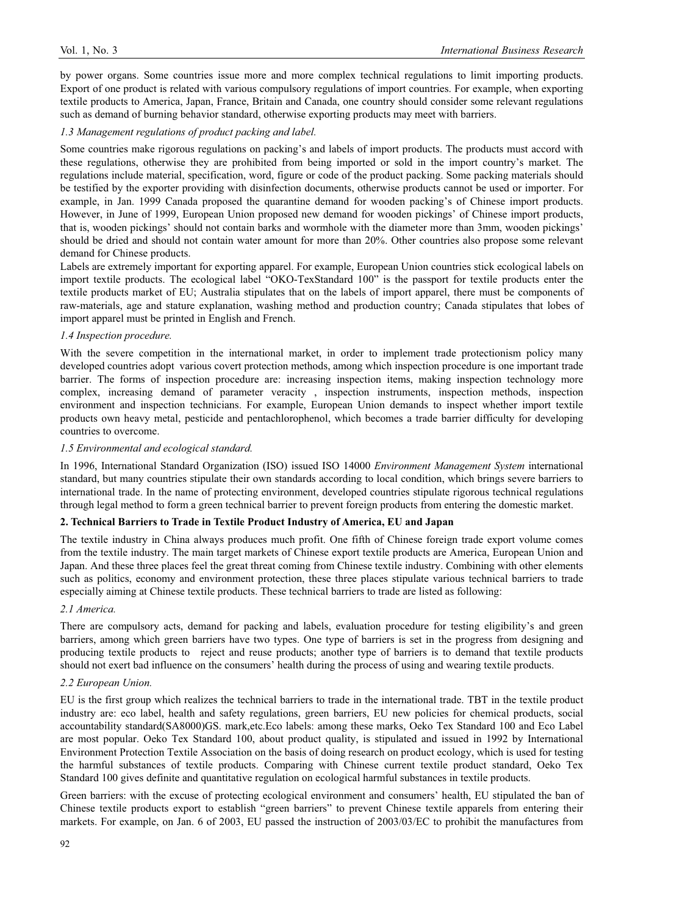by power organs. Some countries issue more and more complex technical regulations to limit importing products. Export of one product is related with various compulsory regulations of import countries. For example, when exporting textile products to America, Japan, France, Britain and Canada, one country should consider some relevant regulations such as demand of burning behavior standard, otherwise exporting products may meet with barriers.

#### *1.3 Management regulations of product packing and label.*

Some countries make rigorous regulations on packing's and labels of import products. The products must accord with these regulations, otherwise they are prohibited from being imported or sold in the import country's market. The regulations include material, specification, word, figure or code of the product packing. Some packing materials should be testified by the exporter providing with disinfection documents, otherwise products cannot be used or importer. For example, in Jan. 1999 Canada proposed the quarantine demand for wooden packing's of Chinese import products. However, in June of 1999, European Union proposed new demand for wooden pickings' of Chinese import products, that is, wooden pickings' should not contain barks and wormhole with the diameter more than 3mm, wooden pickings' should be dried and should not contain water amount for more than 20%. Other countries also propose some relevant demand for Chinese products.

Labels are extremely important for exporting apparel. For example, European Union countries stick ecological labels on import textile products. The ecological label "OKO-TexStandard 100" is the passport for textile products enter the textile products market of EU; Australia stipulates that on the labels of import apparel, there must be components of raw-materials, age and stature explanation, washing method and production country; Canada stipulates that lobes of import apparel must be printed in English and French.

# *1.4 Inspection procedure.*

With the severe competition in the international market, in order to implement trade protectionism policy many developed countries adopt various covert protection methods, among which inspection procedure is one important trade barrier. The forms of inspection procedure are: increasing inspection items, making inspection technology more complex, increasing demand of parameter veracity , inspection instruments, inspection methods, inspection environment and inspection technicians. For example, European Union demands to inspect whether import textile products own heavy metal, pesticide and pentachlorophenol, which becomes a trade barrier difficulty for developing countries to overcome.

# *1.5 Environmental and ecological standard.*

In 1996, International Standard Organization (ISO) issued ISO 14000 *Environment Management System* international standard, but many countries stipulate their own standards according to local condition, which brings severe barriers to international trade. In the name of protecting environment, developed countries stipulate rigorous technical regulations through legal method to form a green technical barrier to prevent foreign products from entering the domestic market.

# **2. Technical Barriers to Trade in Textile Product Industry of America, EU and Japan**

The textile industry in China always produces much profit. One fifth of Chinese foreign trade export volume comes from the textile industry. The main target markets of Chinese export textile products are America, European Union and Japan. And these three places feel the great threat coming from Chinese textile industry. Combining with other elements such as politics, economy and environment protection, these three places stipulate various technical barriers to trade especially aiming at Chinese textile products. These technical barriers to trade are listed as following:

#### *2.1 America.*

There are compulsory acts, demand for packing and labels, evaluation procedure for testing eligibility's and green barriers, among which green barriers have two types. One type of barriers is set in the progress from designing and producing textile products to reject and reuse products; another type of barriers is to demand that textile products should not exert bad influence on the consumers' health during the process of using and wearing textile products.

#### *2.2 European Union.*

EU is the first group which realizes the technical barriers to trade in the international trade. TBT in the textile product industry are: eco label, health and safety regulations, green barriers, EU new policies for chemical products, social accountability standard(SA8000)GS. mark,etc.Eco labels: among these marks, Oeko Tex Standard 100 and Eco Label are most popular. Oeko Tex Standard 100, about product quality, is stipulated and issued in 1992 by International Environment Protection Textile Association on the basis of doing research on product ecology, which is used for testing the harmful substances of textile products. Comparing with Chinese current textile product standard, Oeko Tex Standard 100 gives definite and quantitative regulation on ecological harmful substances in textile products.

Green barriers: with the excuse of protecting ecological environment and consumers' health, EU stipulated the ban of Chinese textile products export to establish "green barriers" to prevent Chinese textile apparels from entering their markets. For example, on Jan. 6 of 2003, EU passed the instruction of 2003/03/EC to prohibit the manufactures from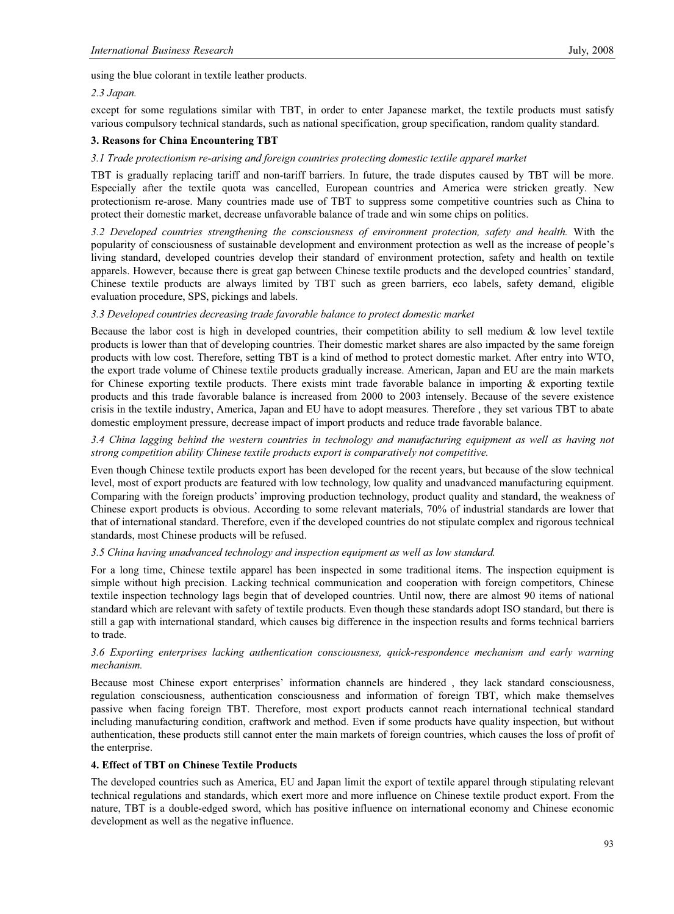#### using the blue colorant in textile leather products.

#### *2.3 Japan.*

except for some regulations similar with TBT, in order to enter Japanese market, the textile products must satisfy various compulsory technical standards, such as national specification, group specification, random quality standard.

#### **3. Reasons for China Encountering TBT**

#### *3.1 Trade protectionism re-arising and foreign countries protecting domestic textile apparel market*

TBT is gradually replacing tariff and non-tariff barriers. In future, the trade disputes caused by TBT will be more. Especially after the textile quota was cancelled, European countries and America were stricken greatly. New protectionism re-arose. Many countries made use of TBT to suppress some competitive countries such as China to protect their domestic market, decrease unfavorable balance of trade and win some chips on politics.

*3.2 Developed countries strengthening the consciousness of environment protection, safety and health.* With the popularity of consciousness of sustainable development and environment protection as well as the increase of people's living standard, developed countries develop their standard of environment protection, safety and health on textile apparels. However, because there is great gap between Chinese textile products and the developed countries' standard, Chinese textile products are always limited by TBT such as green barriers, eco labels, safety demand, eligible evaluation procedure, SPS, pickings and labels.

#### *3.3 Developed countries decreasing trade favorable balance to protect domestic market*

Because the labor cost is high in developed countries, their competition ability to sell medium  $\&$  low level textile products is lower than that of developing countries. Their domestic market shares are also impacted by the same foreign products with low cost. Therefore, setting TBT is a kind of method to protect domestic market. After entry into WTO, the export trade volume of Chinese textile products gradually increase. American, Japan and EU are the main markets for Chinese exporting textile products. There exists mint trade favorable balance in importing & exporting textile products and this trade favorable balance is increased from 2000 to 2003 intensely. Because of the severe existence crisis in the textile industry, America, Japan and EU have to adopt measures. Therefore , they set various TBT to abate domestic employment pressure, decrease impact of import products and reduce trade favorable balance.

# *3.4 China lagging behind the western countries in technology and manufacturing equipment as well as having not strong competition ability Chinese textile products export is comparatively not competitive.*

Even though Chinese textile products export has been developed for the recent years, but because of the slow technical level, most of export products are featured with low technology, low quality and unadvanced manufacturing equipment. Comparing with the foreign products' improving production technology, product quality and standard, the weakness of Chinese export products is obvious. According to some relevant materials, 70% of industrial standards are lower that that of international standard. Therefore, even if the developed countries do not stipulate complex and rigorous technical standards, most Chinese products will be refused.

# *3.5 China having unadvanced technology and inspection equipment as well as low standard.*

For a long time, Chinese textile apparel has been inspected in some traditional items. The inspection equipment is simple without high precision. Lacking technical communication and cooperation with foreign competitors, Chinese textile inspection technology lags begin that of developed countries. Until now, there are almost 90 items of national standard which are relevant with safety of textile products. Even though these standards adopt ISO standard, but there is still a gap with international standard, which causes big difference in the inspection results and forms technical barriers to trade.

# *3.6 Exporting enterprises lacking authentication consciousness, quick-respondence mechanism and early warning mechanism.*

Because most Chinese export enterprises' information channels are hindered , they lack standard consciousness, regulation consciousness, authentication consciousness and information of foreign TBT, which make themselves passive when facing foreign TBT. Therefore, most export products cannot reach international technical standard including manufacturing condition, craftwork and method. Even if some products have quality inspection, but without authentication, these products still cannot enter the main markets of foreign countries, which causes the loss of profit of the enterprise.

# **4. Effect of TBT on Chinese Textile Products**

The developed countries such as America, EU and Japan limit the export of textile apparel through stipulating relevant technical regulations and standards, which exert more and more influence on Chinese textile product export. From the nature, TBT is a double-edged sword, which has positive influence on international economy and Chinese economic development as well as the negative influence.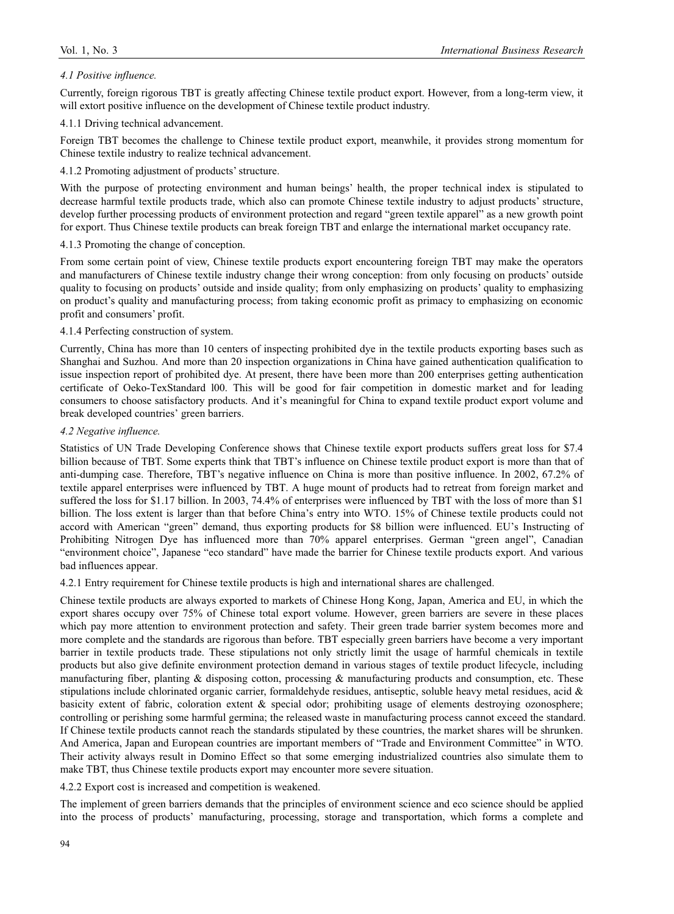# *4.1 Positive influence.*

Currently, foreign rigorous TBT is greatly affecting Chinese textile product export. However, from a long-term view, it will extort positive influence on the development of Chinese textile product industry.

#### 4.1.1 Driving technical advancement.

Foreign TBT becomes the challenge to Chinese textile product export, meanwhile, it provides strong momentum for Chinese textile industry to realize technical advancement.

4.1.2 Promoting adjustment of products' structure.

With the purpose of protecting environment and human beings' health, the proper technical index is stipulated to decrease harmful textile products trade, which also can promote Chinese textile industry to adjust products' structure, develop further processing products of environment protection and regard "green textile apparel" as a new growth point for export. Thus Chinese textile products can break foreign TBT and enlarge the international market occupancy rate.

# 4.1.3 Promoting the change of conception.

From some certain point of view, Chinese textile products export encountering foreign TBT may make the operators and manufacturers of Chinese textile industry change their wrong conception: from only focusing on products' outside quality to focusing on products' outside and inside quality; from only emphasizing on products' quality to emphasizing on product's quality and manufacturing process; from taking economic profit as primacy to emphasizing on economic profit and consumers' profit.

#### 4.1.4 Perfecting construction of system.

Currently, China has more than 10 centers of inspecting prohibited dye in the textile products exporting bases such as Shanghai and Suzhou. And more than 20 inspection organizations in China have gained authentication qualification to issue inspection report of prohibited dye. At present, there have been more than 200 enterprises getting authentication certificate of Oeko-TexStandard l00. This will be good for fair competition in domestic market and for leading consumers to choose satisfactory products. And it's meaningful for China to expand textile product export volume and break developed countries' green barriers.

*4.2 Negative influence.* 

Statistics of UN Trade Developing Conference shows that Chinese textile export products suffers great loss for \$7.4 billion because of TBT. Some experts think that TBT's influence on Chinese textile product export is more than that of anti-dumping case. Therefore, TBT's negative influence on China is more than positive influence. In 2002, 67.2% of textile apparel enterprises were influenced by TBT. A huge mount of products had to retreat from foreign market and suffered the loss for \$1.17 billion. In 2003, 74.4% of enterprises were influenced by TBT with the loss of more than \$1 billion. The loss extent is larger than that before China's entry into WTO. 15% of Chinese textile products could not accord with American "green" demand, thus exporting products for \$8 billion were influenced. EU's Instructing of Prohibiting Nitrogen Dye has influenced more than 70% apparel enterprises. German "green angel", Canadian "environment choice", Japanese "eco standard" have made the barrier for Chinese textile products export. And various bad influences appear.

4.2.1 Entry requirement for Chinese textile products is high and international shares are challenged.

Chinese textile products are always exported to markets of Chinese Hong Kong, Japan, America and EU, in which the export shares occupy over 75% of Chinese total export volume. However, green barriers are severe in these places which pay more attention to environment protection and safety. Their green trade barrier system becomes more and more complete and the standards are rigorous than before. TBT especially green barriers have become a very important barrier in textile products trade. These stipulations not only strictly limit the usage of harmful chemicals in textile products but also give definite environment protection demand in various stages of textile product lifecycle, including manufacturing fiber, planting  $\&$  disposing cotton, processing  $\&$  manufacturing products and consumption, etc. These stipulations include chlorinated organic carrier, formaldehyde residues, antiseptic, soluble heavy metal residues, acid  $\&$ basicity extent of fabric, coloration extent & special odor; prohibiting usage of elements destroying ozonosphere; controlling or perishing some harmful germina; the released waste in manufacturing process cannot exceed the standard. If Chinese textile products cannot reach the standards stipulated by these countries, the market shares will be shrunken. And America, Japan and European countries are important members of "Trade and Environment Committee" in WTO. Their activity always result in Domino Effect so that some emerging industrialized countries also simulate them to make TBT, thus Chinese textile products export may encounter more severe situation.

4.2.2 Export cost is increased and competition is weakened.

The implement of green barriers demands that the principles of environment science and eco science should be applied into the process of products' manufacturing, processing, storage and transportation, which forms a complete and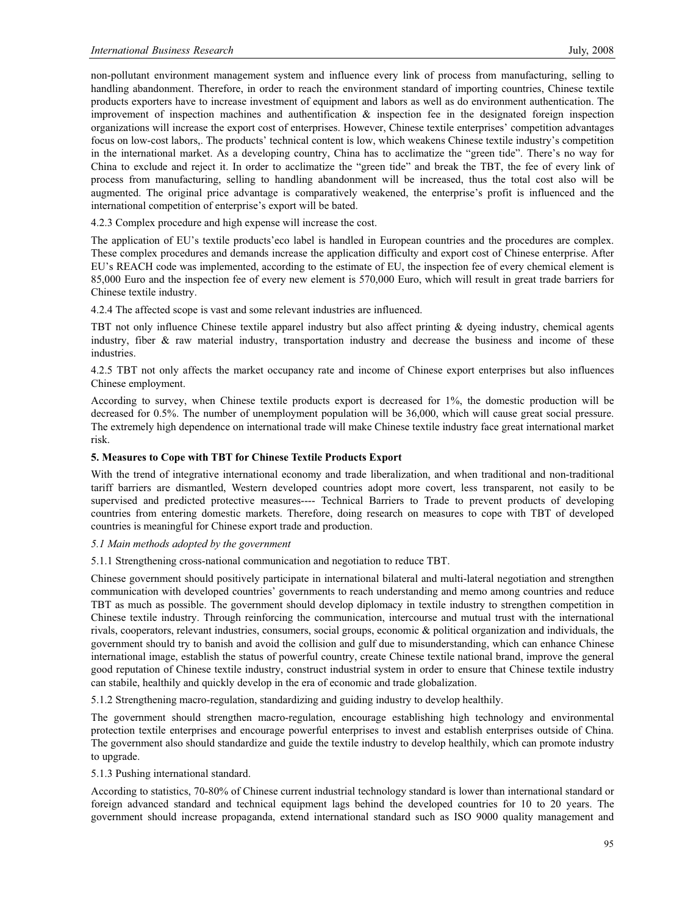non-pollutant environment management system and influence every link of process from manufacturing, selling to handling abandonment. Therefore, in order to reach the environment standard of importing countries, Chinese textile products exporters have to increase investment of equipment and labors as well as do environment authentication. The improvement of inspection machines and authentification & inspection fee in the designated foreign inspection organizations will increase the export cost of enterprises. However, Chinese textile enterprises' competition advantages focus on low-cost labors,. The products' technical content is low, which weakens Chinese textile industry's competition in the international market. As a developing country, China has to acclimatize the "green tide". There's no way for China to exclude and reject it. In order to acclimatize the "green tide" and break the TBT, the fee of every link of process from manufacturing, selling to handling abandonment will be increased, thus the total cost also will be augmented. The original price advantage is comparatively weakened, the enterprise's profit is influenced and the international competition of enterprise's export will be bated.

4.2.3 Complex procedure and high expense will increase the cost.

The application of EU's textile products'eco label is handled in European countries and the procedures are complex. These complex procedures and demands increase the application difficulty and export cost of Chinese enterprise. After EU's REACH code was implemented, according to the estimate of EU, the inspection fee of every chemical element is 85,000 Euro and the inspection fee of every new element is 570,000 Euro, which will result in great trade barriers for Chinese textile industry.

4.2.4 The affected scope is vast and some relevant industries are influenced.

TBT not only influence Chinese textile apparel industry but also affect printing  $\&$  dyeing industry, chemical agents industry, fiber & raw material industry, transportation industry and decrease the business and income of these industries.

4.2.5 TBT not only affects the market occupancy rate and income of Chinese export enterprises but also influences Chinese employment.

According to survey, when Chinese textile products export is decreased for 1%, the domestic production will be decreased for 0.5%. The number of unemployment population will be 36,000, which will cause great social pressure. The extremely high dependence on international trade will make Chinese textile industry face great international market risk.

#### **5. Measures to Cope with TBT for Chinese Textile Products Export**

With the trend of integrative international economy and trade liberalization, and when traditional and non-traditional tariff barriers are dismantled, Western developed countries adopt more covert, less transparent, not easily to be supervised and predicted protective measures---- Technical Barriers to Trade to prevent products of developing countries from entering domestic markets. Therefore, doing research on measures to cope with TBT of developed countries is meaningful for Chinese export trade and production.

*5.1 Main methods adopted by the government*

5.1.1 Strengthening cross-national communication and negotiation to reduce TBT.

Chinese government should positively participate in international bilateral and multi-lateral negotiation and strengthen communication with developed countries' governments to reach understanding and memo among countries and reduce TBT as much as possible. The government should develop diplomacy in textile industry to strengthen competition in Chinese textile industry. Through reinforcing the communication, intercourse and mutual trust with the international rivals, cooperators, relevant industries, consumers, social groups, economic & political organization and individuals, the government should try to banish and avoid the collision and gulf due to misunderstanding, which can enhance Chinese international image, establish the status of powerful country, create Chinese textile national brand, improve the general good reputation of Chinese textile industry, construct industrial system in order to ensure that Chinese textile industry can stabile, healthily and quickly develop in the era of economic and trade globalization.

5.1.2 Strengthening macro-regulation, standardizing and guiding industry to develop healthily.

The government should strengthen macro-regulation, encourage establishing high technology and environmental protection textile enterprises and encourage powerful enterprises to invest and establish enterprises outside of China. The government also should standardize and guide the textile industry to develop healthily, which can promote industry to upgrade.

5.1.3 Pushing international standard.

According to statistics, 70-80% of Chinese current industrial technology standard is lower than international standard or foreign advanced standard and technical equipment lags behind the developed countries for 10 to 20 years. The government should increase propaganda, extend international standard such as ISO 9000 quality management and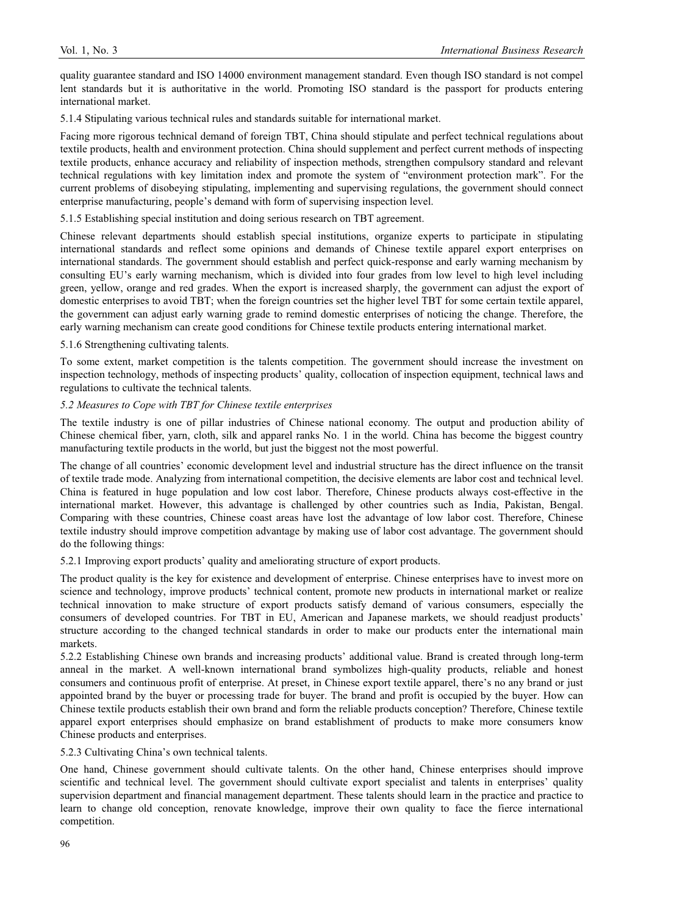quality guarantee standard and ISO 14000 environment management standard. Even though ISO standard is not compel lent standards but it is authoritative in the world. Promoting ISO standard is the passport for products entering international market.

5.1.4 Stipulating various technical rules and standards suitable for international market.

Facing more rigorous technical demand of foreign TBT, China should stipulate and perfect technical regulations about textile products, health and environment protection. China should supplement and perfect current methods of inspecting textile products, enhance accuracy and reliability of inspection methods, strengthen compulsory standard and relevant technical regulations with key limitation index and promote the system of "environment protection mark". For the current problems of disobeying stipulating, implementing and supervising regulations, the government should connect enterprise manufacturing, people's demand with form of supervising inspection level.

5.1.5 Establishing special institution and doing serious research on TBT agreement.

Chinese relevant departments should establish special institutions, organize experts to participate in stipulating international standards and reflect some opinions and demands of Chinese textile apparel export enterprises on international standards. The government should establish and perfect quick-response and early warning mechanism by consulting EU's early warning mechanism, which is divided into four grades from low level to high level including green, yellow, orange and red grades. When the export is increased sharply, the government can adjust the export of domestic enterprises to avoid TBT; when the foreign countries set the higher level TBT for some certain textile apparel, the government can adjust early warning grade to remind domestic enterprises of noticing the change. Therefore, the early warning mechanism can create good conditions for Chinese textile products entering international market.

5.1.6 Strengthening cultivating talents.

To some extent, market competition is the talents competition. The government should increase the investment on inspection technology, methods of inspecting products' quality, collocation of inspection equipment, technical laws and regulations to cultivate the technical talents.

#### *5.2 Measures to Cope with TBT for Chinese textile enterprises*

The textile industry is one of pillar industries of Chinese national economy. The output and production ability of Chinese chemical fiber, yarn, cloth, silk and apparel ranks No. 1 in the world. China has become the biggest country manufacturing textile products in the world, but just the biggest not the most powerful.

The change of all countries' economic development level and industrial structure has the direct influence on the transit of textile trade mode. Analyzing from international competition, the decisive elements are labor cost and technical level. China is featured in huge population and low cost labor. Therefore, Chinese products always cost-effective in the international market. However, this advantage is challenged by other countries such as India, Pakistan, Bengal. Comparing with these countries, Chinese coast areas have lost the advantage of low labor cost. Therefore, Chinese textile industry should improve competition advantage by making use of labor cost advantage. The government should do the following things:

5.2.1 Improving export products' quality and ameliorating structure of export products.

The product quality is the key for existence and development of enterprise. Chinese enterprises have to invest more on science and technology, improve products' technical content, promote new products in international market or realize technical innovation to make structure of export products satisfy demand of various consumers, especially the consumers of developed countries. For TBT in EU, American and Japanese markets, we should readjust products' structure according to the changed technical standards in order to make our products enter the international main markets.

5.2.2 Establishing Chinese own brands and increasing products' additional value. Brand is created through long-term anneal in the market. A well-known international brand symbolizes high-quality products, reliable and honest consumers and continuous profit of enterprise. At preset, in Chinese export textile apparel, there's no any brand or just appointed brand by the buyer or processing trade for buyer. The brand and profit is occupied by the buyer. How can Chinese textile products establish their own brand and form the reliable products conception? Therefore, Chinese textile apparel export enterprises should emphasize on brand establishment of products to make more consumers know Chinese products and enterprises.

5.2.3 Cultivating China's own technical talents.

One hand, Chinese government should cultivate talents. On the other hand, Chinese enterprises should improve scientific and technical level. The government should cultivate export specialist and talents in enterprises' quality supervision department and financial management department. These talents should learn in the practice and practice to learn to change old conception, renovate knowledge, improve their own quality to face the fierce international competition.